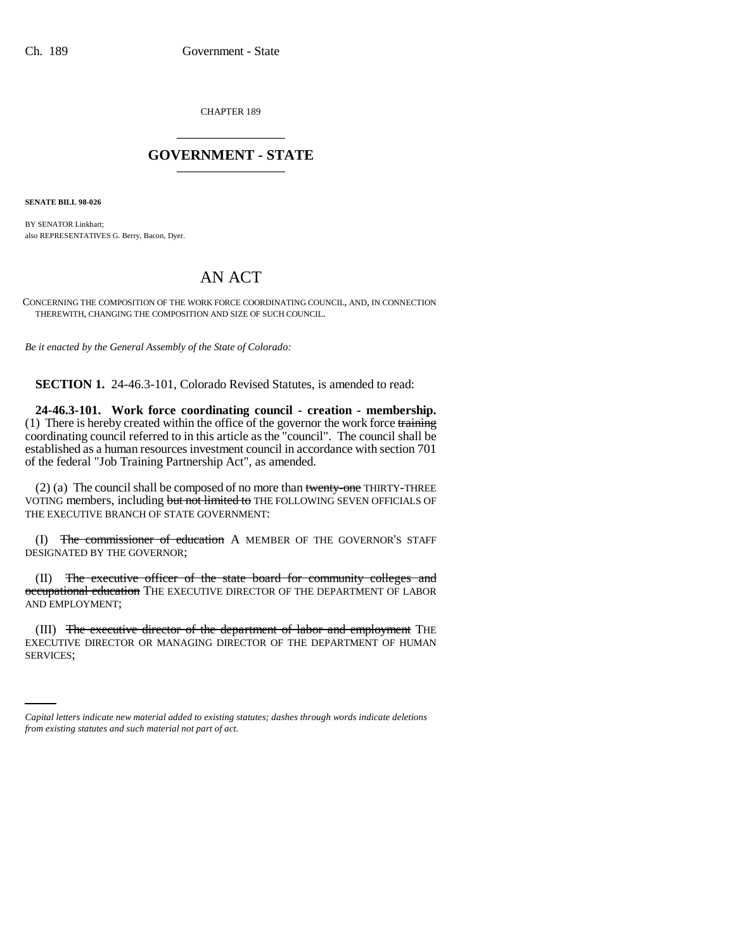CHAPTER 189 \_\_\_\_\_\_\_\_\_\_\_\_\_\_\_

## **GOVERNMENT - STATE** \_\_\_\_\_\_\_\_\_\_\_\_\_\_\_

**SENATE BILL 98-026**

BY SENATOR Linkhart; also REPRESENTATIVES G. Berry, Bacon, Dyer.

## AN ACT

CONCERNING THE COMPOSITION OF THE WORK FORCE COORDINATING COUNCIL, AND, IN CONNECTION THEREWITH, CHANGING THE COMPOSITION AND SIZE OF SUCH COUNCIL.

*Be it enacted by the General Assembly of the State of Colorado:*

**SECTION 1.** 24-46.3-101, Colorado Revised Statutes, is amended to read:

**24-46.3-101. Work force coordinating council - creation - membership.**  $(1)$  There is hereby created within the office of the governor the work force training coordinating council referred to in this article as the "council". The council shall be established as a human resources investment council in accordance with section 701 of the federal "Job Training Partnership Act", as amended.

(2) (a) The council shall be composed of no more than twenty-one THIRTY-THREE VOTING members, including but not limited to THE FOLLOWING SEVEN OFFICIALS OF THE EXECUTIVE BRANCH OF STATE GOVERNMENT:

(I) The commissioner of education A MEMBER OF THE GOVERNOR'S STAFF DESIGNATED BY THE GOVERNOR;

(II) The executive officer of the state board for community colleges and occupational education THE EXECUTIVE DIRECTOR OF THE DEPARTMENT OF LABOR AND EMPLOYMENT;

EXECUTIVE DIRECTOR OR MANAGING DIRECTOR OF THE DEPARTMENT OF HUMAN (III) The executive director of the department of labor and employment THE SERVICES;

*Capital letters indicate new material added to existing statutes; dashes through words indicate deletions from existing statutes and such material not part of act.*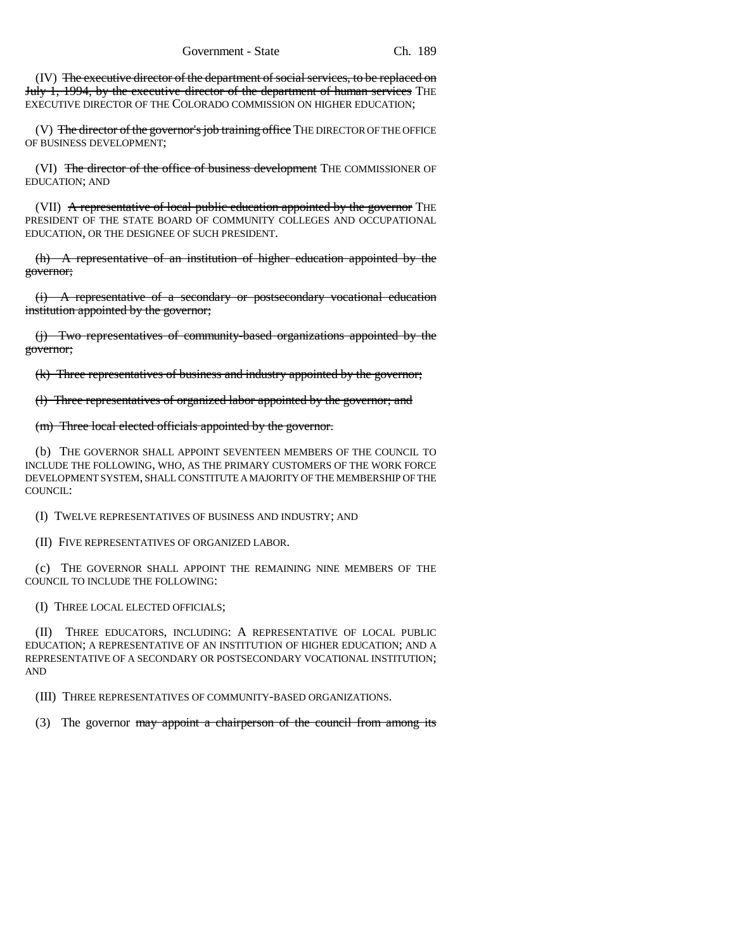(IV) The executive director of the department of social services, to be replaced on July 1, 1994, by the executive director of the department of human services THE EXECUTIVE DIRECTOR OF THE COLORADO COMMISSION ON HIGHER EDUCATION;

(V) The director of the governor's job training office THE DIRECTOR OF THE OFFICE OF BUSINESS DEVELOPMENT;

(VI) The director of the office of business development THE COMMISSIONER OF EDUCATION; AND

(VII) A representative of local public education appointed by the governor THE PRESIDENT OF THE STATE BOARD OF COMMUNITY COLLEGES AND OCCUPATIONAL EDUCATION, OR THE DESIGNEE OF SUCH PRESIDENT.

(h) A representative of an institution of higher education appointed by the governor;

(i) A representative of a secondary or postsecondary vocational education institution appointed by the governor;

(j) Two representatives of community-based organizations appointed by the governor;

(k) Three representatives of business and industry appointed by the governor;

(l) Three representatives of organized labor appointed by the governor; and

## (m) Three local elected officials appointed by the governor.

(b) THE GOVERNOR SHALL APPOINT SEVENTEEN MEMBERS OF THE COUNCIL TO INCLUDE THE FOLLOWING, WHO, AS THE PRIMARY CUSTOMERS OF THE WORK FORCE DEVELOPMENT SYSTEM, SHALL CONSTITUTE A MAJORITY OF THE MEMBERSHIP OF THE COUNCIL:

(I) TWELVE REPRESENTATIVES OF BUSINESS AND INDUSTRY; AND

(II) FIVE REPRESENTATIVES OF ORGANIZED LABOR.

(c) THE GOVERNOR SHALL APPOINT THE REMAINING NINE MEMBERS OF THE COUNCIL TO INCLUDE THE FOLLOWING:

(I) THREE LOCAL ELECTED OFFICIALS;

(II) THREE EDUCATORS, INCLUDING: A REPRESENTATIVE OF LOCAL PUBLIC EDUCATION; A REPRESENTATIVE OF AN INSTITUTION OF HIGHER EDUCATION; AND A REPRESENTATIVE OF A SECONDARY OR POSTSECONDARY VOCATIONAL INSTITUTION; AND

(III) THREE REPRESENTATIVES OF COMMUNITY-BASED ORGANIZATIONS.

(3) The governor may appoint a chairperson of the council from among its